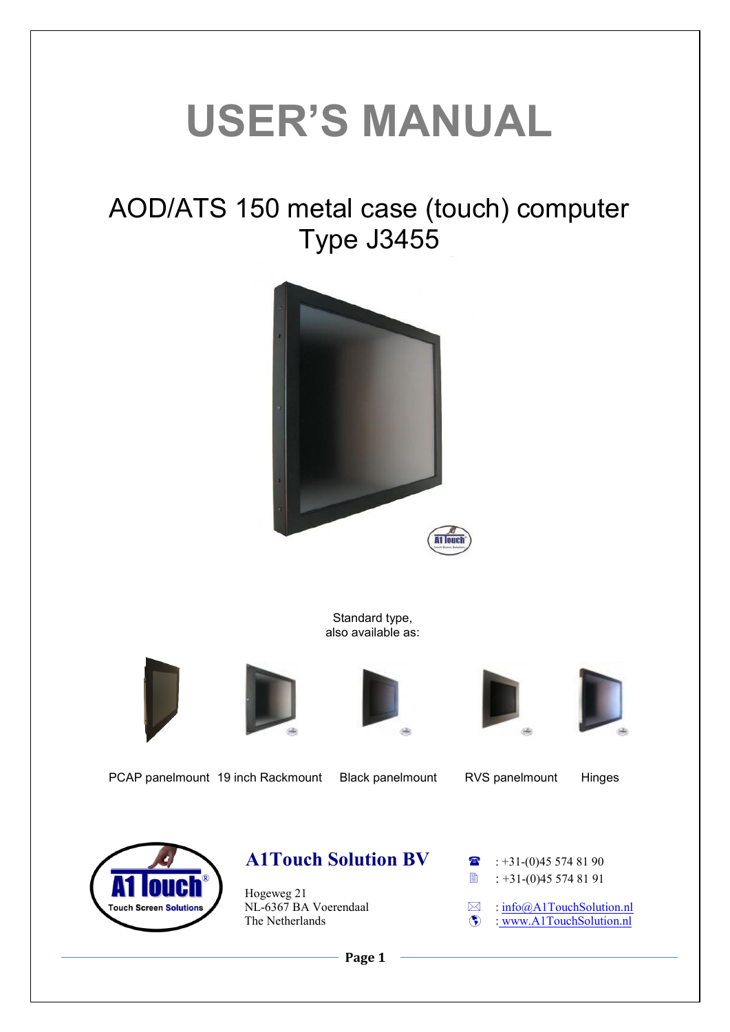# **USER'S MANUAL**

## AOD/ATS 150 metal case (touch) computer Type J3455



Standard type, also available as:









PCAP panelmount 19 inch Rackmount Black panelmount RVS panelmount Hinges



### **A1Touch Solution BV a** : +31-(0)45 574 81 90

Hogeweg 21<br>NL-6367 BA Voerendaal  $NL-6367$  BA Voerendaal  $\Box$  :  $\frac{info@AITouchSolution.nl}{(2)}$ <br>The Netherlands

**■ : +31-(0)45 574 81 91** 

 $\overline{\mathbf{W}}$  : [www.A1TouchSolution.nl](http://www.a1touchsolution.nl/)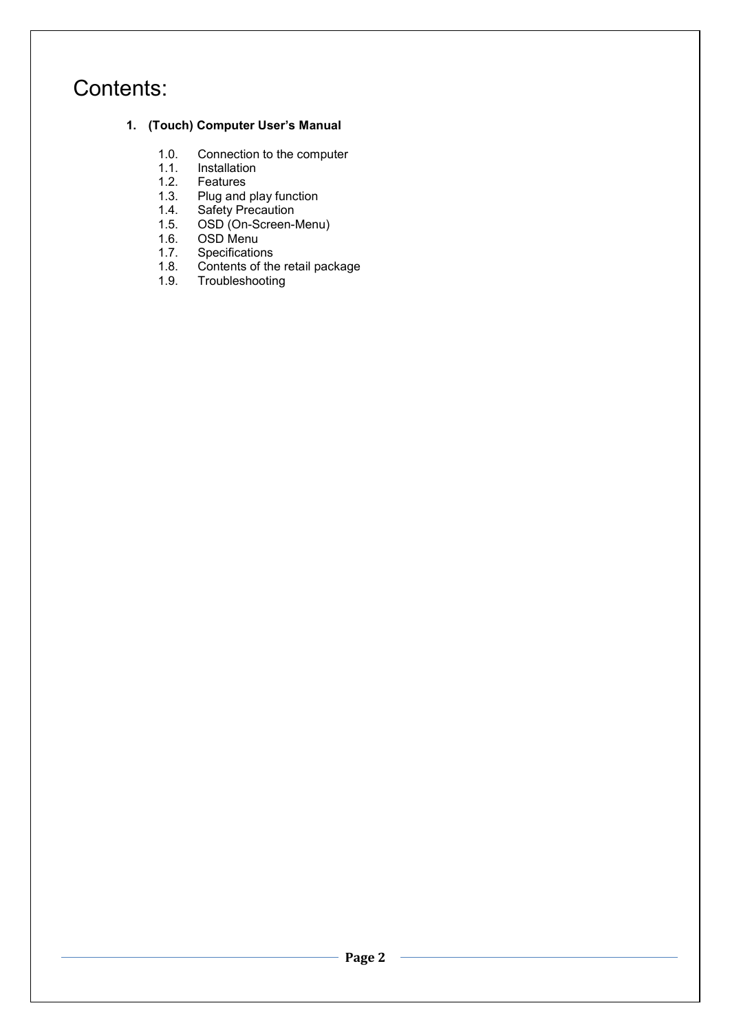## Contents:

#### **1. (Touch) Computer User's Manual**

- 1.0. Connection to the computer<br>1.1. Installation
- 1.1. Installation<br>1.2. Features
- 1.2. Features<br>1.3. Plug and
- 1.3. Plug and play function<br>1.4. Safety Precaution
- 1.4. Safety Precaution<br>1.5. OSD (On-Screen-I
- 1.5. OSD (On-Screen-Menu)<br>1.6. OSD Menu
- 1.6. OSD Menu<br>1.7. Specificatio
- 1.7. Specifications<br>1.8. Contents of the
- 1.8. Contents of the retail package<br>1.9. Troubleshooting **Troubleshooting**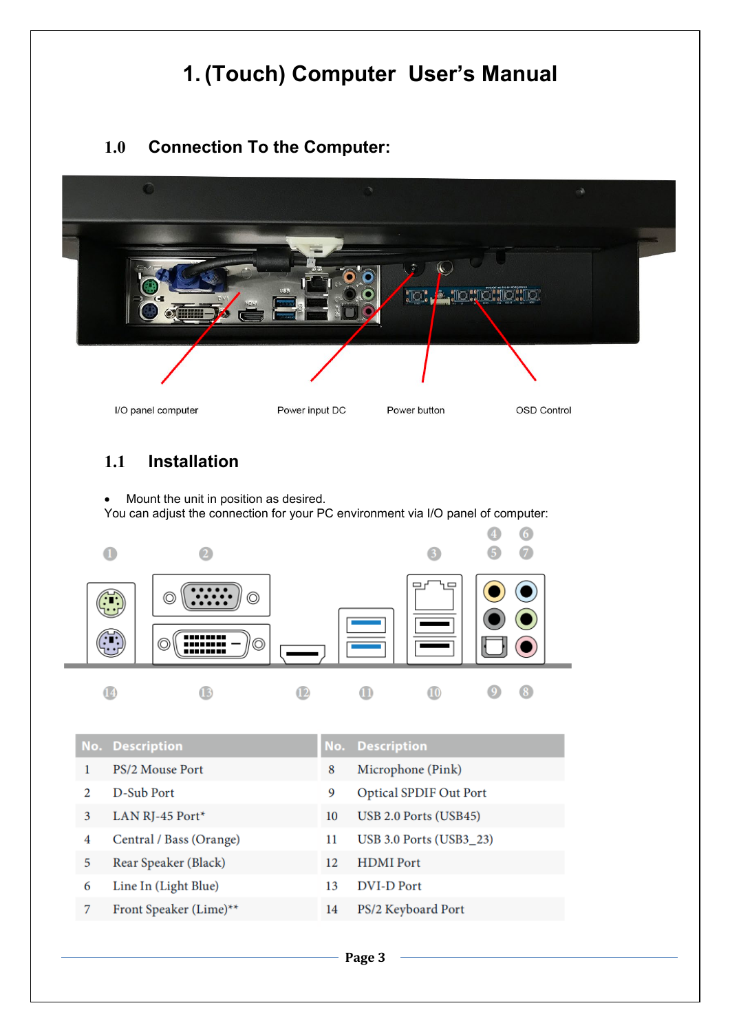## **1. (Touch) Computer User's Manual**

#### **1.0 Connection To the Computer:**



#### **1.1 Installation**

• Mount the unit in position as desired. You can adjust the connection for your PC environment via I/O panel of computer:



|               | <b>No. Description</b>  |    | <b>No. Description</b>        |
|---------------|-------------------------|----|-------------------------------|
|               | PS/2 Mouse Port         | 8  | Microphone (Pink)             |
| $\mathcal{D}$ | D-Sub Port              | 9  | <b>Optical SPDIF Out Port</b> |
| 3             | LAN RJ-45 Port*         | 10 | USB 2.0 Ports (USB45)         |
| 4             | Central / Bass (Orange) | 11 | USB 3.0 Ports (USB3_23)       |
| 5             | Rear Speaker (Black)    | 12 | <b>HDMI</b> Port              |
| 6             | Line In (Light Blue)    | 13 | DVI-D Port                    |
|               | Front Speaker (Lime)**  | 14 | PS/2 Keyboard Port            |
|               |                         |    |                               |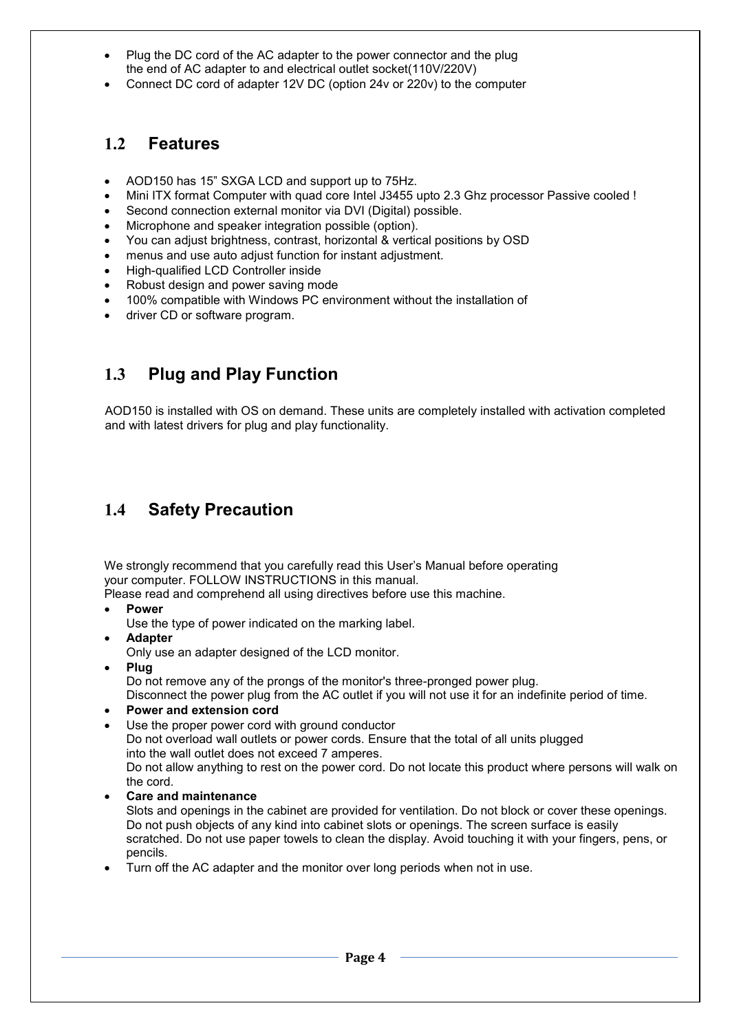- Plug the DC cord of the AC adapter to the power connector and the plug the end of AC adapter to and electrical outlet socket(110V/220V)
- Connect DC cord of adapter 12V DC (option 24v or 220v) to the computer

#### **1.2 Features**

- AOD150 has 15" SXGA LCD and support up to 75Hz.
- Mini ITX format Computer with quad core Intel J3455 upto 2.3 Ghz processor Passive cooled !
- Second connection external monitor via DVI (Digital) possible.
- Microphone and speaker integration possible (option).
- You can adjust brightness, contrast, horizontal & vertical positions by OSD
- menus and use auto adjust function for instant adjustment.
- High-qualified LCD Controller inside
- Robust design and power saving mode
- 100% compatible with Windows PC environment without the installation of
- driver CD or software program.

#### **1.3 Plug and Play Function**

AOD150 is installed with OS on demand. These units are completely installed with activation completed and with latest drivers for plug and play functionality.

#### **1.4 Safety Precaution**

We strongly recommend that you carefully read this User's Manual before operating your computer. FOLLOW INSTRUCTIONS in this manual.

Please read and comprehend all using directives before use this machine.

• **Power**

Use the type of power indicated on the marking label.

• **Adapter**

Only use an adapter designed of the LCD monitor.

- **Plug** Do not remove any of the prongs of the monitor's three-pronged power plug. Disconnect the power plug from the AC outlet if you will not use it for an indefinite period of time.
- **Power and extension cord**
- Use the proper power cord with ground conductor

Do not overload wall outlets or power cords. Ensure that the total of all units plugged into the wall outlet does not exceed 7 amperes.

Do not allow anything to rest on the power cord. Do not locate this product where persons will walk on the cord.

• **Care and maintenance**

Slots and openings in the cabinet are provided for ventilation. Do not block or cover these openings. Do not push objects of any kind into cabinet slots or openings. The screen surface is easily scratched. Do not use paper towels to clean the display. Avoid touching it with your fingers, pens, or pencils.

• Turn off the AC adapter and the monitor over long periods when not in use.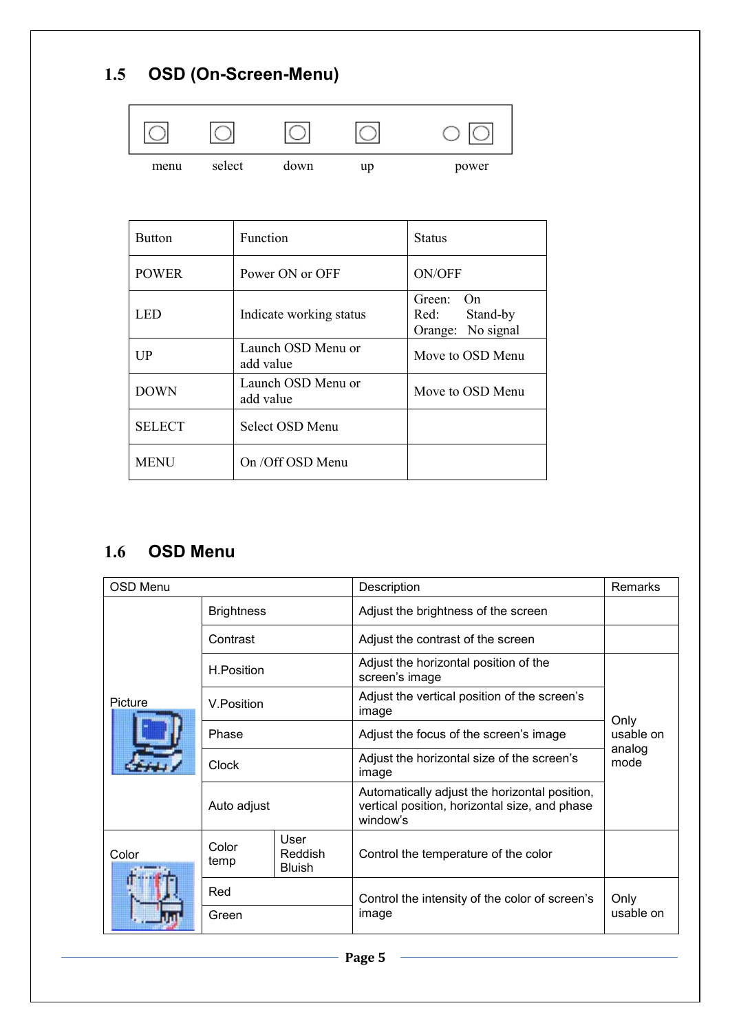## **1.5 OSD (On-Screen-Menu)**



| <b>Button</b> | Function                        | <b>Status</b>                                      |
|---------------|---------------------------------|----------------------------------------------------|
| <b>POWER</b>  | Power ON or OFF                 | <b>ON/OFF</b>                                      |
| LED           | Indicate working status         | Green: On<br>Red:<br>Stand-by<br>Orange: No signal |
| UP            | Launch OSD Menu or<br>add value | Move to OSD Menu                                   |
| <b>DOWN</b>   | Launch OSD Menu or<br>add value | Move to OSD Menu                                   |
| <b>SELECT</b> | Select OSD Menu                 |                                                    |
| <b>MENU</b>   | On /Off OSD Menu                |                                                    |

#### **1.6 OSD Menu**

| <b>OSD Menu</b> |                   |                                  | Description                                                                                                | <b>Remarks</b>                      |
|-----------------|-------------------|----------------------------------|------------------------------------------------------------------------------------------------------------|-------------------------------------|
|                 | <b>Brightness</b> |                                  | Adjust the brightness of the screen                                                                        |                                     |
|                 | Contrast          |                                  | Adjust the contrast of the screen                                                                          |                                     |
|                 | H.Position        |                                  | Adjust the horizontal position of the<br>screen's image                                                    | Only<br>usable on<br>analog<br>mode |
| Picture         | V.Position        |                                  | Adjust the vertical position of the screen's<br>image                                                      |                                     |
|                 | Phase             |                                  | Adjust the focus of the screen's image                                                                     |                                     |
|                 | <b>Clock</b>      |                                  | Adjust the horizontal size of the screen's<br>image                                                        |                                     |
|                 | Auto adjust       |                                  | Automatically adjust the horizontal position,<br>vertical position, horizontal size, and phase<br>window's |                                     |
| Color           | Color<br>temp     | User<br>Reddish<br><b>Bluish</b> | Control the temperature of the color                                                                       |                                     |
|                 | Red               |                                  | Control the intensity of the color of screen's                                                             | Only                                |
|                 | Green             |                                  | image                                                                                                      | usable on                           |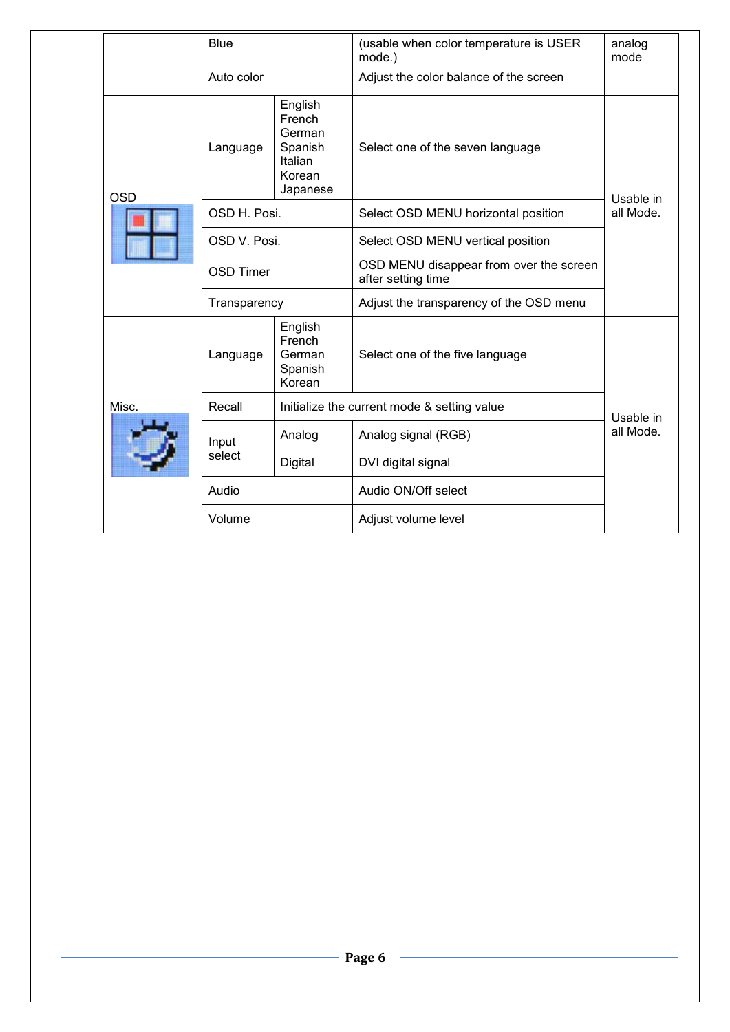|            | <b>Blue</b>      |                                                                         | (usable when color temperature is USER<br>mode.)              | analog<br>mode         |  |
|------------|------------------|-------------------------------------------------------------------------|---------------------------------------------------------------|------------------------|--|
|            | Auto color       |                                                                         | Adjust the color balance of the screen                        |                        |  |
| <b>OSD</b> | Language         | English<br>French<br>German<br>Spanish<br>Italian<br>Korean<br>Japanese | Select one of the seven language                              |                        |  |
|            | OSD H. Posi.     |                                                                         | Select OSD MENU horizontal position                           | Usable in<br>all Mode. |  |
|            | OSD V. Posi.     |                                                                         | Select OSD MENU vertical position                             |                        |  |
|            | <b>OSD Timer</b> |                                                                         | OSD MENU disappear from over the screen<br>after setting time |                        |  |
|            | Transparency     |                                                                         | Adjust the transparency of the OSD menu                       |                        |  |
|            | Language         | English<br>French<br>German<br>Spanish<br>Korean                        | Select one of the five language                               |                        |  |
| Misc.      | Recall           | Initialize the current mode & setting value                             |                                                               | Usable in<br>all Mode. |  |
|            | Analog<br>Input  |                                                                         | Analog signal (RGB)                                           |                        |  |
|            | select           | Digital                                                                 | DVI digital signal                                            |                        |  |
|            | Audio            |                                                                         | Audio ON/Off select                                           |                        |  |
|            | Volume           |                                                                         | Adjust volume level                                           |                        |  |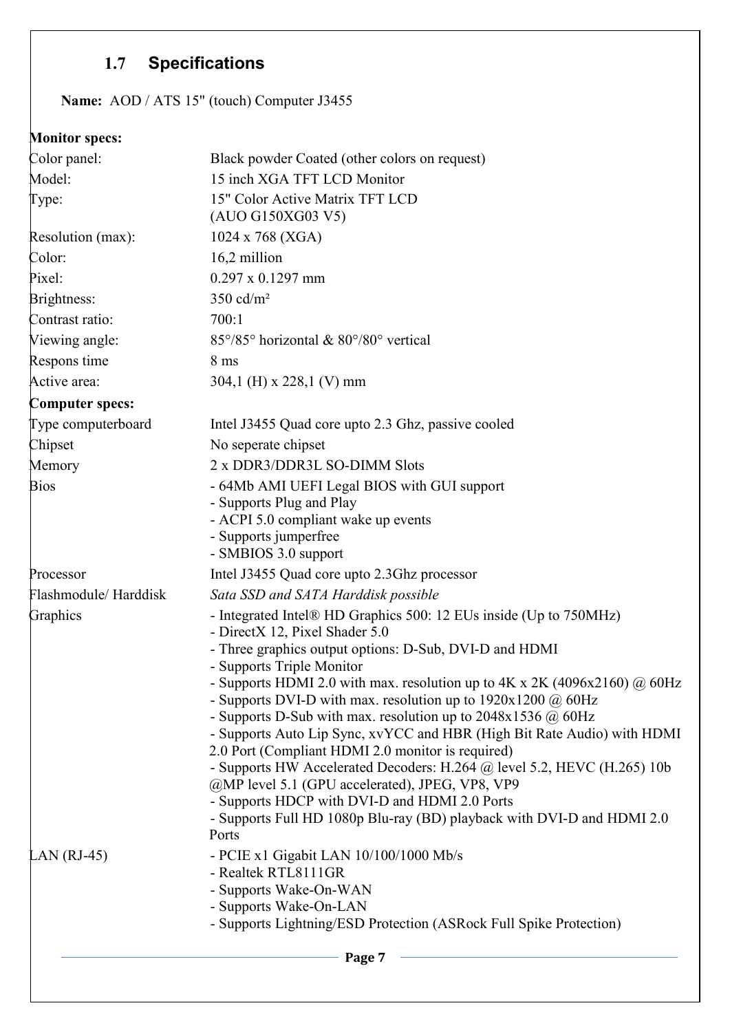## **1.7 Specifications**

**Name:** AOD / ATS 15" (touch) Computer J3455

#### **Monitor specs:**

| Color panel:           | Black powder Coated (other colors on request)                                                                              |
|------------------------|----------------------------------------------------------------------------------------------------------------------------|
| Model:                 | 15 inch XGA TFT LCD Monitor                                                                                                |
| Type:                  | 15" Color Active Matrix TFT LCD<br>(AUO G150XG03 V5)                                                                       |
| Resolution (max):      | 1024 x 768 (XGA)                                                                                                           |
| Color:                 | 16,2 million                                                                                                               |
| Pixel:                 | $0.297 \times 0.1297$ mm                                                                                                   |
| Brightness:            | $350$ cd/m <sup>2</sup>                                                                                                    |
| Contrast ratio:        | 700:1                                                                                                                      |
| Viewing angle:         | 85°/85° horizontal & 80°/80° vertical                                                                                      |
| Respons time           | 8 <sub>ms</sub>                                                                                                            |
| Active area:           | 304,1 (H) x 228,1 (V) mm                                                                                                   |
| <b>Computer specs:</b> |                                                                                                                            |
| Type computerboard     | Intel J3455 Quad core upto 2.3 Ghz, passive cooled                                                                         |
| Chipset                | No seperate chipset                                                                                                        |
| Memory                 | 2 x DDR3/DDR3L SO-DIMM Slots                                                                                               |
| <b>Bios</b>            | - 64Mb AMI UEFI Legal BIOS with GUI support                                                                                |
|                        | - Supports Plug and Play                                                                                                   |
|                        | - ACPI 5.0 compliant wake up events<br>- Supports jumperfree                                                               |
|                        | - SMBIOS 3.0 support                                                                                                       |
| Processor              | Intel J3455 Quad core upto 2.3Ghz processor                                                                                |
| Flashmodule/Harddisk   | Sata SSD and SATA Harddisk possible                                                                                        |
| Graphics               | - Integrated Intel® HD Graphics 500: 12 EUs inside (Up to 750MHz)                                                          |
|                        | - DirectX 12, Pixel Shader 5.0                                                                                             |
|                        | - Three graphics output options: D-Sub, DVI-D and HDMI<br>- Supports Triple Monitor                                        |
|                        | - Supports HDMI 2.0 with max. resolution up to $4K \times 2K$ (4096x2160) @ 60Hz                                           |
|                        | - Supports DVI-D with max. resolution up to $1920x1200 \omega$ 60Hz                                                        |
|                        | - Supports D-Sub with max. resolution up to $2048x1536$ @ 60Hz                                                             |
|                        | - Supports Auto Lip Sync, xvYCC and HBR (High Bit Rate Audio) with HDMI                                                    |
|                        | 2.0 Port (Compliant HDMI 2.0 monitor is required)                                                                          |
|                        | - Supports HW Accelerated Decoders: H.264 @ level 5.2, HEVC (H.265) 10b<br>@MP level 5.1 (GPU accelerated), JPEG, VP8, VP9 |
|                        | - Supports HDCP with DVI-D and HDMI 2.0 Ports                                                                              |
|                        | - Supports Full HD 1080p Blu-ray (BD) playback with DVI-D and HDMI 2.0                                                     |
|                        | Ports                                                                                                                      |
| LAN $(RJ-45)$          | - PCIE x1 Gigabit LAN 10/100/1000 Mb/s                                                                                     |
|                        | - Realtek RTL8111GR                                                                                                        |
|                        | - Supports Wake-On-WAN                                                                                                     |
|                        | - Supports Wake-On-LAN                                                                                                     |
|                        | - Supports Lightning/ESD Protection (ASRock Full Spike Protection)                                                         |
|                        | Page 7                                                                                                                     |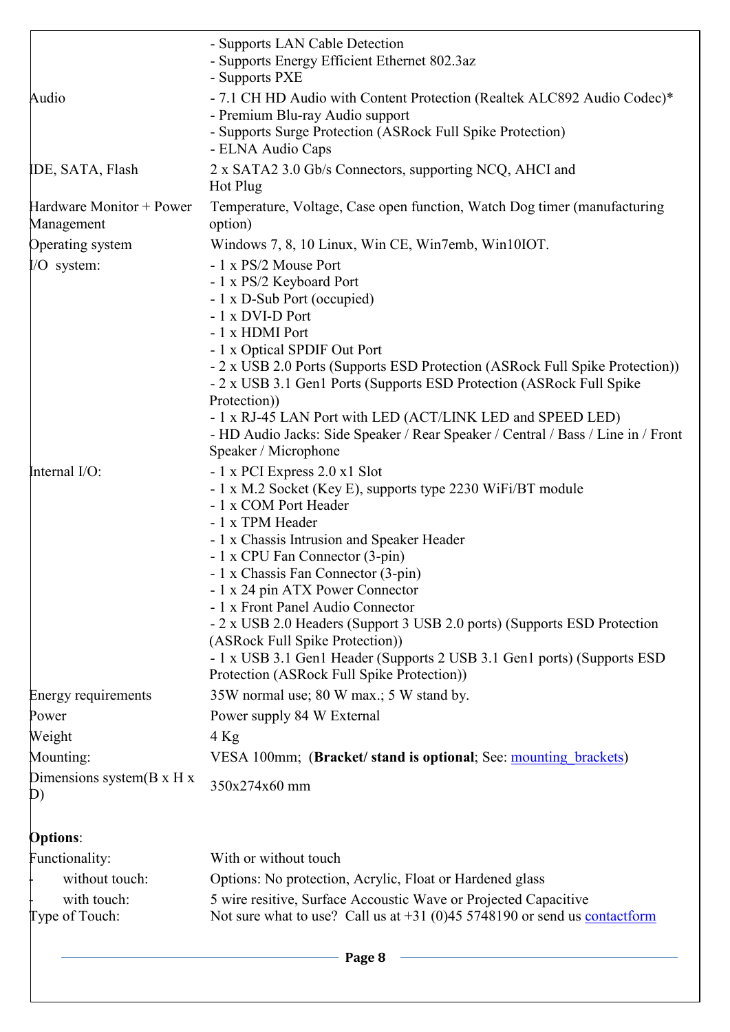|                                              | - Supports LAN Cable Detection<br>- Supports Energy Efficient Ethernet 802.3az<br>- Supports PXE                                                                                              |
|----------------------------------------------|-----------------------------------------------------------------------------------------------------------------------------------------------------------------------------------------------|
| Audio                                        | - 7.1 CH HD Audio with Content Protection (Realtek ALC892 Audio Codec)*<br>- Premium Blu-ray Audio support<br>- Supports Surge Protection (ASRock Full Spike Protection)<br>- ELNA Audio Caps |
| IDE, SATA, Flash                             | 2 x SATA2 3.0 Gb/s Connectors, supporting NCQ, AHCI and<br>Hot Plug                                                                                                                           |
| Hardware Monitor + Power<br>Management       | Temperature, Voltage, Case open function, Watch Dog timer (manufacturing<br>option)                                                                                                           |
| Operating system                             | Windows 7, 8, 10 Linux, Win CE, Win7emb, Win10IOT.                                                                                                                                            |
| I/O system:                                  | - 1 x PS/2 Mouse Port                                                                                                                                                                         |
|                                              | - 1 x PS/2 Keyboard Port                                                                                                                                                                      |
|                                              | - 1 x D-Sub Port (occupied)                                                                                                                                                                   |
|                                              | - 1 x DVI-D Port<br>- 1 x HDMI Port                                                                                                                                                           |
|                                              | - 1 x Optical SPDIF Out Port                                                                                                                                                                  |
|                                              | - 2 x USB 2.0 Ports (Supports ESD Protection (ASRock Full Spike Protection))<br>- 2 x USB 3.1 Gen1 Ports (Supports ESD Protection (ASRock Full Spike<br>Protection))                          |
|                                              | - 1 x RJ-45 LAN Port with LED (ACT/LINK LED and SPEED LED)<br>- HD Audio Jacks: Side Speaker / Rear Speaker / Central / Bass / Line in / Front                                                |
|                                              | Speaker / Microphone                                                                                                                                                                          |
| Internal I/O:                                | - 1 x PCI Express 2.0 x1 Slot                                                                                                                                                                 |
|                                              | - 1 x M.2 Socket (Key E), supports type 2230 WiFi/BT module                                                                                                                                   |
|                                              | - 1 x COM Port Header                                                                                                                                                                         |
|                                              | - 1 x TPM Header                                                                                                                                                                              |
|                                              | - 1 x Chassis Intrusion and Speaker Header                                                                                                                                                    |
|                                              | - 1 x CPU Fan Connector (3-pin)<br>- 1 x Chassis Fan Connector (3-pin)                                                                                                                        |
|                                              | - 1 x 24 pin ATX Power Connector                                                                                                                                                              |
|                                              | - 1 x Front Panel Audio Connector                                                                                                                                                             |
|                                              | - 2 x USB 2.0 Headers (Support 3 USB 2.0 ports) (Supports ESD Protection                                                                                                                      |
|                                              | (ASRock Full Spike Protection))                                                                                                                                                               |
|                                              | - 1 x USB 3.1 Gen1 Header (Supports 2 USB 3.1 Gen1 ports) (Supports ESD<br>Protection (ASRock Full Spike Protection))                                                                         |
| <b>Energy requirements</b>                   | 35W normal use; 80 W max.; 5 W stand by.                                                                                                                                                      |
| Power                                        | Power supply 84 W External                                                                                                                                                                    |
| Weight                                       | $4$ Kg                                                                                                                                                                                        |
| Mounting:                                    | VESA 100mm; (Bracket/ stand is optional; See: mounting brackets)                                                                                                                              |
| Dimensions system $(B \times H \times$<br>D) | 350x274x60 mm                                                                                                                                                                                 |
| <b>Options:</b>                              |                                                                                                                                                                                               |
| Functionality:                               | With or without touch                                                                                                                                                                         |
| without touch:                               | Options: No protection, Acrylic, Float or Hardened glass                                                                                                                                      |
| with touch:                                  | 5 wire resitive, Surface Accoustic Wave or Projected Capacitive                                                                                                                               |
| Type of Touch:                               | Not sure what to use? Call us at $+31$ (0)45 5748190 or send us contactform                                                                                                                   |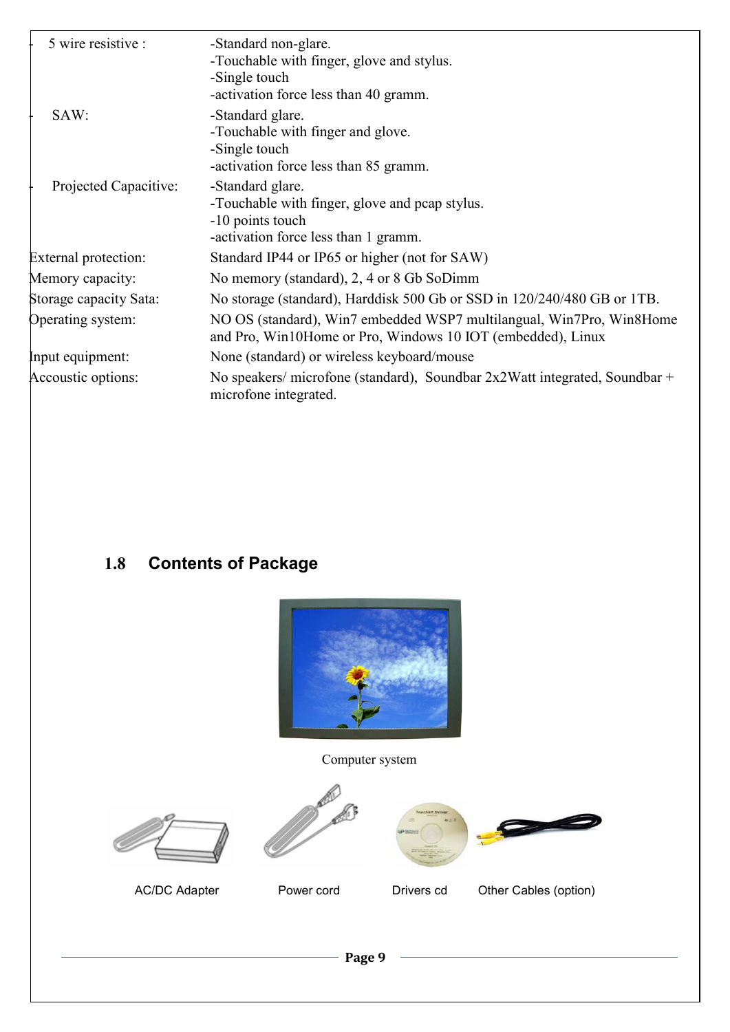| 5 wire resistive :          | -Standard non-glare.<br>-Touchable with finger, glove and stylus.<br>-Single touch<br>-activation force less than 40 gramm.         |  |
|-----------------------------|-------------------------------------------------------------------------------------------------------------------------------------|--|
| SAW:                        | -Standard glare.<br>-Touchable with finger and glove.<br>-Single touch<br>-activation force less than 85 gramm.                     |  |
| Projected Capacitive:       | -Standard glare.<br>-Touchable with finger, glove and pcap stylus.<br>-10 points touch<br>-activation force less than 1 gramm.      |  |
| <b>External protection:</b> | Standard IP44 or IP65 or higher (not for SAW)                                                                                       |  |
| Memory capacity:            | No memory (standard), 2, 4 or 8 Gb SoDimm                                                                                           |  |
| Storage capacity Sata:      | No storage (standard), Harddisk 500 Gb or SSD in 120/240/480 GB or 1TB.                                                             |  |
| Operating system:           | NO OS (standard), Win7 embedded WSP7 multilangual, Win7Pro, Win8Home<br>and Pro, Win10Home or Pro, Windows 10 IOT (embedded), Linux |  |
| Input equipment:            | None (standard) or wireless keyboard/mouse                                                                                          |  |
| Accoustic options:          | No speakers/ microfone (standard), Soundbar $2x2W$ at integrated, Soundbar +<br>microfone integrated.                               |  |

## **1.8 Contents of Package**



Computer system









AC/DC Adapter Power cord Drivers cd Other Cables (option)